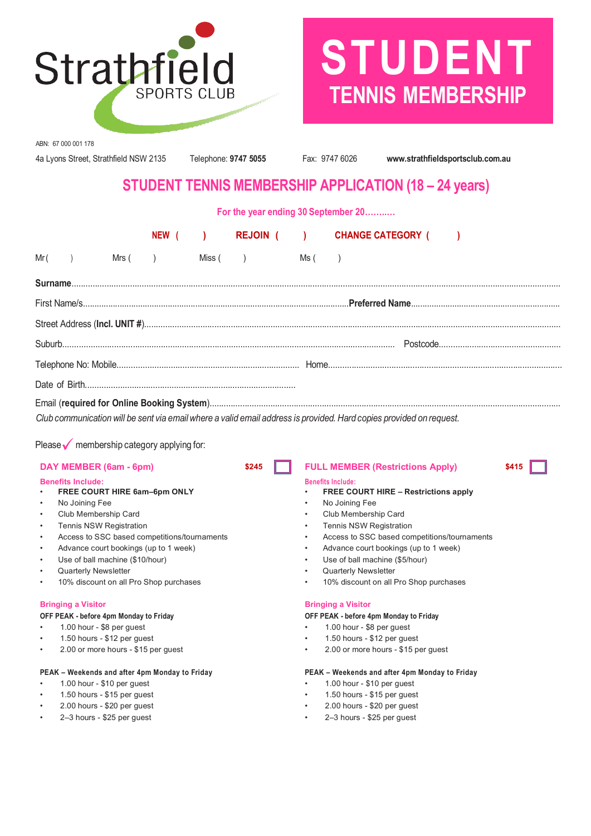

# **STUDENT TENNIS MEMBERSHIP**

ABN: 67 000 001 178

4a Lyons Street, Strathfield NSW 2135 Telephone: **9747 5055** Fax: 9747 6026 **www.strathfieldsportsclub.com.au**

# **STUDENT TENNIS MEMBERSHIP APPLICATION (18 – 24 years)**

**For the year ending 30 September 20……..…**

|      |  |         |  |          |  |      | NEW ( ) REJOIN ( ) CHANGE CATEGORY ( ) |  |  |
|------|--|---------|--|----------|--|------|----------------------------------------|--|--|
| Mr ( |  | Mrs(  ) |  | Miss(  ) |  | Ms ( |                                        |  |  |
|      |  |         |  |          |  |      |                                        |  |  |
|      |  |         |  |          |  |      |                                        |  |  |
|      |  |         |  |          |  |      |                                        |  |  |
|      |  |         |  |          |  |      |                                        |  |  |
|      |  |         |  |          |  |      |                                        |  |  |
|      |  |         |  |          |  |      |                                        |  |  |
|      |  |         |  |          |  |      |                                        |  |  |

Club communication will be sent via email where a valid email address is provided. Hard copies provided on request.

Please  $\sqrt{\ }$  membership category applying for:

### **Benefits Include: Benefits Include:**

- 
- 
- 
- 
- 
- 
- 
- 
- 

### **Bringing a Visitor Bringing a Visitor**

### **OFF PEAK - before 4pm Monday to Friday OFF PEAK - before 4pm Monday to Friday**

- 1.00 hour \$8 per guest 1.00 hour \$8 per guest
- 
- 

### **PEAK – Weekends and after 4pm Monday to Friday PEAK – Weekends and after 4pm Monday to Friday**

- 
- 
- 
- 

### **DAY MEMBER (6am - 6pm) \$245 FULL MEMBER (Restrictions Apply) \$415**

- **FREE COURT HIRE 6am–6pm ONLY FREE COURT HIRE – Restrictions apply**
- No Joining Fee No Joining Fee
- Club Membership Card Club Membership Card
- Tennis NSW Registration Tennis NSW Registration
- Access to SSC based competitions/tournaments Access to SSC based competitions/tournaments
- Advance court bookings (up to 1 week) Advance court bookings (up to 1 week)
- Use of ball machine (\$10/hour) Use of ball machine (\$5/hour)
- Quarterly Newsletter  **Cuarterly Newsletter Cuarterly Newsletter Cuarterly Newsletter**
- 10% discount on all Pro Shop purchases 10% discount on all Pro Shop purchases

- 
- 1.50 hours \$12 per guest 1.50 hours \$12 per guest
- 2.00 or more hours \$15 per guest 2.00 or more hours \$15 per guest

- 1.00 hour \$10 per guest 1.00 hour \$10 per guest
- 1.50 hours \$15 per guest 1.50 hours \$15 per guest
- 2.00 hours \$20 per guest 2.00 hours \$20 per guest
- 2–3 hours \$25 per guest 2–3 hours \$25 per guest